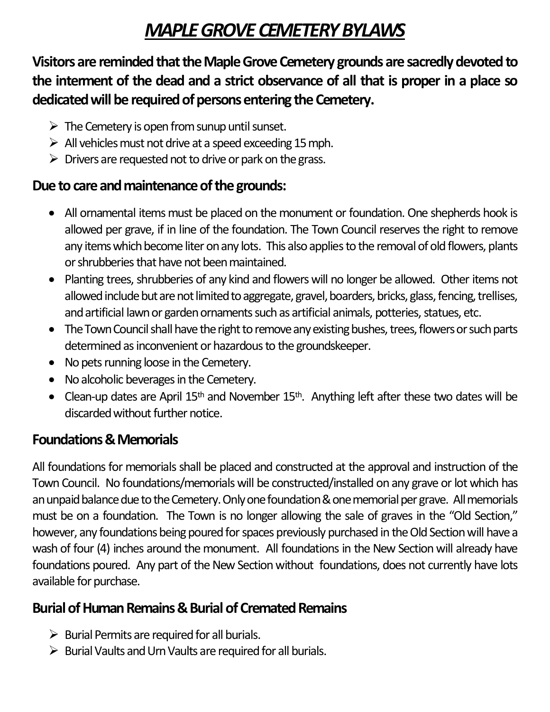## *MAPLE GROVE CEMETERY BYLAWS*

**Visitors are reminded that the Maple Grove Cemetery grounds are sacredly devoted to the interment of the dead and a strict observance of all that is proper in a place so dedicated will be required of persons entering the Cemetery.**

- $\triangleright$  The Cemetery is open from sunup until sunset.
- $\triangleright$  All vehicles must not drive at a speed exceeding 15 mph.
- $\triangleright$  Drivers are requested not to drive or park on the grass.

## **Due to care and maintenance of the grounds:**

- All ornamental items must be placed on the monument or foundation. One shepherds hook is allowed per grave, if in line of the foundation. The Town Council reserves the right to remove any items which become liter on any lots. This also applies to the removal of old flowers, plants or shrubberies that have not been maintained.
- Planting trees, shrubberies of any kind and flowers will no longer be allowed. Other items not allowed include but are not limited to aggregate, gravel, boarders, bricks, glass, fencing, trellises, and artificial lawn or garden ornaments such as artificial animals, potteries, statues, etc.
- The Town Council shall have the right to remove any existing bushes, trees, flowers or such parts determined as inconvenient or hazardous to the groundskeeper.
- No pets running loose in the Cemetery.
- No alcoholic beverages in the Cemetery.
- Clean-up dates are April  $15<sup>th</sup>$  and November  $15<sup>th</sup>$ . Anything left after these two dates will be discarded without further notice.

## **Foundations & Memorials**

All foundations for memorials shall be placed and constructed at the approval and instruction of the Town Council. No foundations/memorials will be constructed/installed on any grave or lot which has anunpaid balance due to the Cemetery. Only one foundation & one memorial per grave. All memorials must be on a foundation. The Town is no longer allowing the sale of graves in the "Old Section," however, any foundations being poured for spaces previously purchased in the Old Section will have a wash of four (4) inches around the monument. All foundations in the New Section will already have foundations poured. Any part of the New Section without foundations, does not currently have lots available for purchase.

## **Burial of Human Remains & Burial of Cremated Remains**

- $\triangleright$  Burial Permits are required for all burials.
- $\triangleright$  Burial Vaults and Urn Vaults are required for all burials.